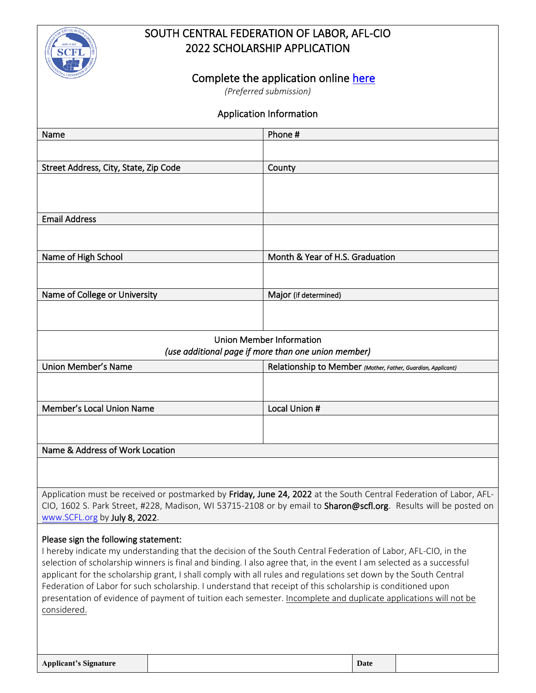

## SOUTH CENTRAL FEDERATION OF LABOR, AFL-CIO 2022 SCHOLARSHIP APPLICATION

## Complete the application online here

*(Preferred submission)*

| <b>Application Information</b>                                                                                                                                                                                                                                                                                                                                                                                                                                                                                                                                                                                                                      |                                                              |  |
|-----------------------------------------------------------------------------------------------------------------------------------------------------------------------------------------------------------------------------------------------------------------------------------------------------------------------------------------------------------------------------------------------------------------------------------------------------------------------------------------------------------------------------------------------------------------------------------------------------------------------------------------------------|--------------------------------------------------------------|--|
| Name                                                                                                                                                                                                                                                                                                                                                                                                                                                                                                                                                                                                                                                | Phone #                                                      |  |
|                                                                                                                                                                                                                                                                                                                                                                                                                                                                                                                                                                                                                                                     |                                                              |  |
| Street Address, City, State, Zip Code                                                                                                                                                                                                                                                                                                                                                                                                                                                                                                                                                                                                               | County                                                       |  |
|                                                                                                                                                                                                                                                                                                                                                                                                                                                                                                                                                                                                                                                     |                                                              |  |
| <b>Email Address</b>                                                                                                                                                                                                                                                                                                                                                                                                                                                                                                                                                                                                                                |                                                              |  |
|                                                                                                                                                                                                                                                                                                                                                                                                                                                                                                                                                                                                                                                     |                                                              |  |
| Name of High School                                                                                                                                                                                                                                                                                                                                                                                                                                                                                                                                                                                                                                 | Month & Year of H.S. Graduation                              |  |
|                                                                                                                                                                                                                                                                                                                                                                                                                                                                                                                                                                                                                                                     |                                                              |  |
| Name of College or University                                                                                                                                                                                                                                                                                                                                                                                                                                                                                                                                                                                                                       | Major (if determined)                                        |  |
|                                                                                                                                                                                                                                                                                                                                                                                                                                                                                                                                                                                                                                                     |                                                              |  |
| <b>Union Member Information</b><br>(use additional page if more than one union member)                                                                                                                                                                                                                                                                                                                                                                                                                                                                                                                                                              |                                                              |  |
| Union Member's Name                                                                                                                                                                                                                                                                                                                                                                                                                                                                                                                                                                                                                                 | Relationship to Member (Mother, Father, Guardian, Applicant) |  |
|                                                                                                                                                                                                                                                                                                                                                                                                                                                                                                                                                                                                                                                     |                                                              |  |
| Member's Local Union Name                                                                                                                                                                                                                                                                                                                                                                                                                                                                                                                                                                                                                           | Local Union #                                                |  |
|                                                                                                                                                                                                                                                                                                                                                                                                                                                                                                                                                                                                                                                     |                                                              |  |
| Name & Address of Work Location                                                                                                                                                                                                                                                                                                                                                                                                                                                                                                                                                                                                                     |                                                              |  |
|                                                                                                                                                                                                                                                                                                                                                                                                                                                                                                                                                                                                                                                     |                                                              |  |
| Application must be received or postmarked by Friday, June 24, 2022 at the South Central Federation of Labor, AFL-<br>CIO, 1602 S. Park Street, #228, Madison, WI 53715-2108 or by email to Sharon@scfl.org. Results will be posted on<br>www.SCFL.org by July 8, 2022.                                                                                                                                                                                                                                                                                                                                                                             |                                                              |  |
| Please sign the following statement:<br>I hereby indicate my understanding that the decision of the South Central Federation of Labor, AFL-CIO, in the<br>selection of scholarship winners is final and binding. I also agree that, in the event I am selected as a successful<br>applicant for the scholarship grant, I shall comply with all rules and regulations set down by the South Central<br>Federation of Labor for such scholarship. I understand that receipt of this scholarship is conditioned upon<br>presentation of evidence of payment of tuition each semester. Incomplete and duplicate applications will not be<br>considered. |                                                              |  |

| <b>Applicant's Signature</b> | Date |  |
|------------------------------|------|--|
|                              |      |  |